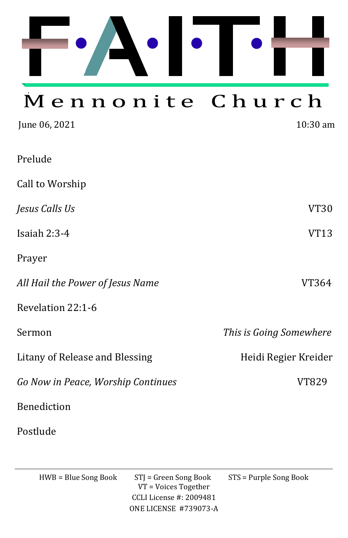

# Mennonite Church

| June 06, 2021                      | $10:30$ am              |
|------------------------------------|-------------------------|
| Prelude                            |                         |
| Call to Worship                    |                         |
| Jesus Calls Us                     | <b>VT30</b>             |
| Isaiah $2:3-4$                     | <b>VT13</b>             |
| Prayer                             |                         |
| All Hail the Power of Jesus Name   | VT364                   |
| Revelation 22:1-6                  |                         |
| Sermon                             | This is Going Somewhere |
| Litany of Release and Blessing     | Heidi Regier Kreider    |
| Go Now in Peace, Worship Continues | VT829                   |
| <b>Benediction</b>                 |                         |
| Postlude                           |                         |

HWB = Blue Song Book STJ = Green Song Book STS = Purple Song Book VT = Voices Together CCLI License #: 2009481 ONE LICENSE #739073-A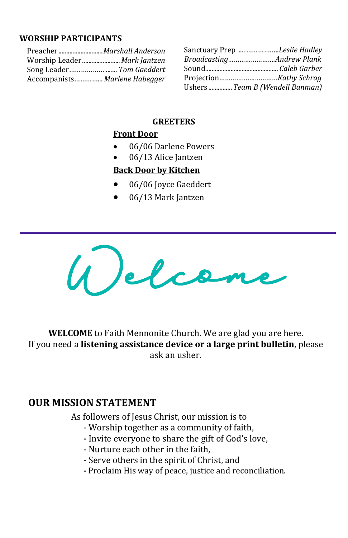### **WORSHIP PARTICIPANTS**

| Accompanists Marlene Habegger |  |
|-------------------------------|--|

| Sanctuary Prep <i>Leslie Hadley</i> |
|-------------------------------------|
| BroadcastingAndrew Plank            |
|                                     |
|                                     |
| Ushers  Team B (Wendell Banman)     |

#### **GREETERS**

## **Front Door**

- 06/06 Darlene Powers
- 06/13 Alice Jantzen

## **Back Door by Kitchen**

- 06/06 Joyce Gaeddert
- 06/13 Mark Jantzen



**WELCOME** to Faith Mennonite Church. We are glad you are here. If you need a **listening assistance device or a large print bulletin**, please ask an usher.

## **OUR MISSION STATEMENT**

As followers of Jesus Christ, our mission is to

- Worship together as a community of faith,
- **-** Invite everyone to share the gift of God's love,
- Nurture each other in the faith,
- Serve others in the spirit of Christ, and
- **-** Proclaim His way of peace, justice and reconciliation.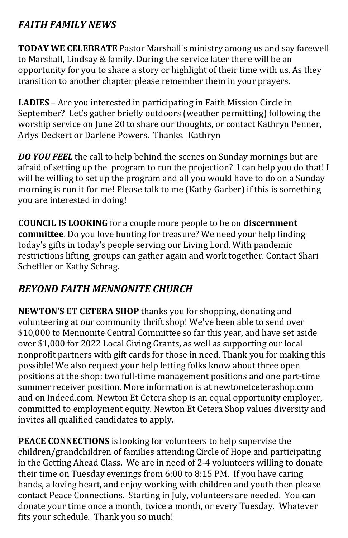## *FAITH FAMILY NEWS*

**TODAY WE CELEBRATE** Pastor Marshall's ministry among us and say farewell to Marshall, Lindsay & family. During the service later there will be an opportunity for you to share a story or highlight of their time with us. As they transition to another chapter please remember them in your prayers.

**LADIES** – Are you interested in participating in Faith Mission Circle in September? Let's gather briefly outdoors (weather permitting) following the worship service on June 20 to share our thoughts, or contact Kathryn Penner, Arlys Deckert or Darlene Powers. Thanks. Kathryn

*DO YOU FEEL* the call to help behind the scenes on Sunday mornings but are afraid of setting up the program to run the projection? I can help you do that! I will be willing to set up the program and all you would have to do on a Sunday morning is run it for me! Please talk to me (Kathy Garber) if this is something you are interested in doing!

**COUNCIL IS LOOKING** for a couple more people to be on **discernment committee**. Do you love hunting for treasure? We need your help finding today's gifts in today's people serving our Living Lord. With pandemic restrictions lifting, groups can gather again and work together. Contact Shari Scheffler or Kathy Schrag.

## *BEYOND FAITH MENNONITE CHURCH*

**NEWTON'S ET CETERA SHOP** thanks you for shopping, donating and volunteering at our community thrift shop! We've been able to send over \$10,000 to Mennonite Central Committee so far this year, and have set aside over \$1,000 for 2022 Local Giving Grants, as well as supporting our local nonprofit partners with gift cards for those in need. Thank you for making this possible! We also request your help letting folks know about three open positions at the shop: two full-time management positions and one part-time summer receiver position. More information is at [newtonetceterashop.com](https://faithmenno.us10.list-manage.com/track/click?u=5243b1c606ac0a9b2de34b748&id=12acd606ed&e=d8c34fbe40)  and on Indeed.com. Newton Et Cetera shop is an equal opportunity employer, committed to employment equity. Newton Et Cetera Shop values diversity and invites all qualified candidates to apply.

**PEACE CONNECTIONS** is looking for volunteers to help supervise the children/grandchildren of families attending Circle of Hope and participating in the Getting Ahead Class. We are in need of 2-4 volunteers willing to donate their time on Tuesday evenings from 6:00 to 8:15 PM. If you have caring hands, a loving heart, and enjoy working with children and youth then please contact Peace Connections. Starting in July, volunteers are needed. You can donate your time once a month, twice a month, or every Tuesday. Whatever fits your schedule. Thank you so much!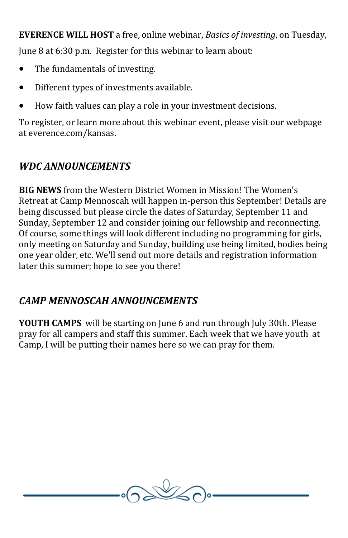**EVERENCE WILL HOST** a free, online webinar, *Basics of investing*, on Tuesday,

June 8 at 6:30 p.m. Register for this webinar to learn about:

- The fundamentals of investing.
- Different types of investments available.
- How faith values can play a role in your investment decisions.

To register, or learn more about this webinar event, please visit our webpage at everence.com/kansas.

# *WDC ANNOUNCEMENTS*

**BIG NEWS** from the Western District Women in Mission! The Women's Retreat at Camp Mennoscah will happen in-person this September! Details are being discussed but please circle the dates of Saturday, September 11 and Sunday, September 12 and consider joining our fellowship and reconnecting. Of course, some things will look different including no programming for girls, only meeting on Saturday and Sunday, building use being limited, bodies being one year older, etc. We'll send out more details and registration information later this summer; hope to see you there!

## *CAMP MENNOSCAH ANNOUNCEMENTS*

**YOUTH CAMPS** will be starting on June 6 and run through July 30th. Please pray for all campers and staff this summer. Each week that we have youth at Camp, I will be putting their names here so we can pray for them.

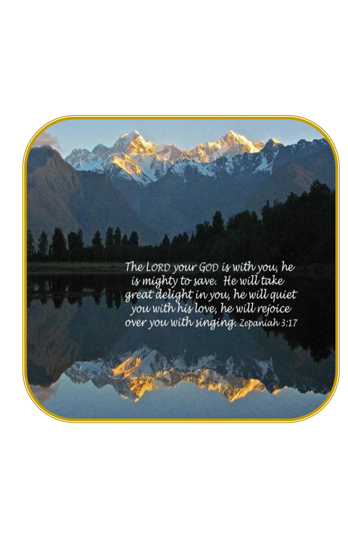